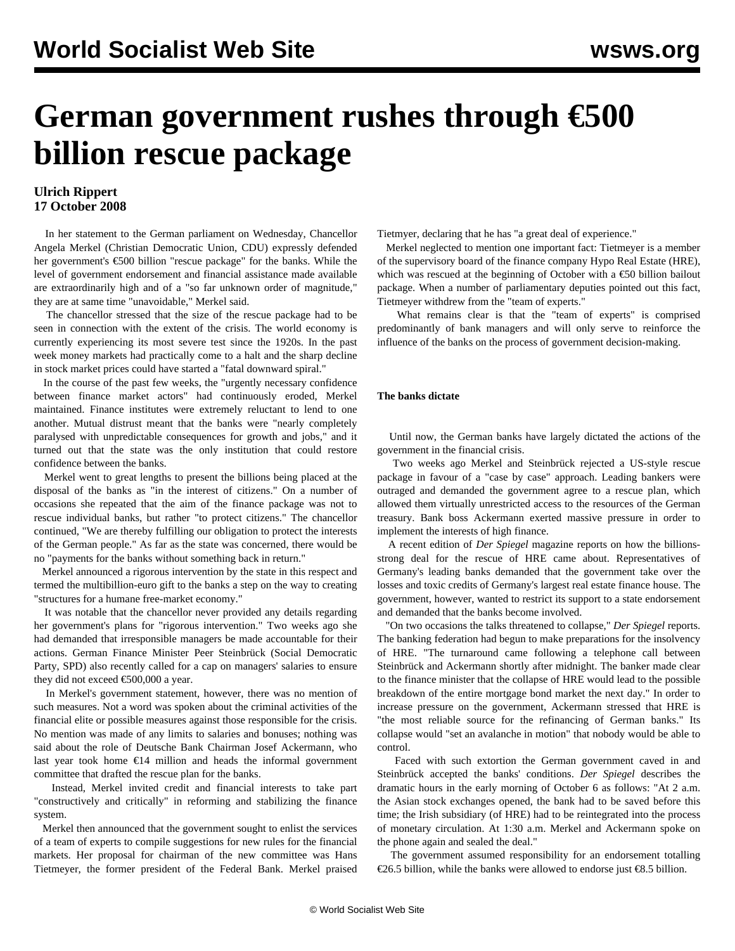# **German government rushes through €500 billion rescue package**

### **Ulrich Rippert 17 October 2008**

 In her statement to the German parliament on Wednesday, Chancellor Angela Merkel (Christian Democratic Union, CDU) expressly defended her government's €500 billion "rescue package" for the banks. While the level of government endorsement and financial assistance made available are extraordinarily high and of a "so far unknown order of magnitude," they are at same time "unavoidable," Merkel said.

 The chancellor stressed that the size of the rescue package had to be seen in connection with the extent of the crisis. The world economy is currently experiencing its most severe test since the 1920s. In the past week money markets had practically come to a halt and the sharp decline in stock market prices could have started a "fatal downward spiral."

 In the course of the past few weeks, the "urgently necessary confidence between finance market actors" had continuously eroded, Merkel maintained. Finance institutes were extremely reluctant to lend to one another. Mutual distrust meant that the banks were "nearly completely paralysed with unpredictable consequences for growth and jobs," and it turned out that the state was the only institution that could restore confidence between the banks.

 Merkel went to great lengths to present the billions being placed at the disposal of the banks as "in the interest of citizens." On a number of occasions she repeated that the aim of the finance package was not to rescue individual banks, but rather "to protect citizens." The chancellor continued, "We are thereby fulfilling our obligation to protect the interests of the German people." As far as the state was concerned, there would be no "payments for the banks without something back in return."

 Merkel announced a rigorous intervention by the state in this respect and termed the multibillion-euro gift to the banks a step on the way to creating "structures for a humane free-market economy."

 It was notable that the chancellor never provided any details regarding her government's plans for "rigorous intervention." Two weeks ago she had demanded that irresponsible managers be made accountable for their actions. German Finance Minister Peer Steinbrück (Social Democratic Party, SPD) also recently called for a cap on managers' salaries to ensure they did not exceed €500,000 a year.

 In Merkel's government statement, however, there was no mention of such measures. Not a word was spoken about the criminal activities of the financial elite or possible measures against those responsible for the crisis. No mention was made of any limits to salaries and bonuses; nothing was said about the role of Deutsche Bank Chairman Josef Ackermann, who last year took home  $\epsilon$ 14 million and heads the informal government committee that drafted the rescue plan for the banks.

 Instead, Merkel invited credit and financial interests to take part "constructively and critically" in reforming and stabilizing the finance system.

 Merkel then announced that the government sought to enlist the services of a team of experts to compile suggestions for new rules for the financial markets. Her proposal for chairman of the new committee was Hans Tietmeyer, the former president of the Federal Bank. Merkel praised Tietmyer, declaring that he has "a great deal of experience."

 Merkel neglected to mention one important fact: Tietmeyer is a member of the supervisory board of the finance company Hypo Real Estate (HRE), which was rescued at the beginning of October with a €50 billion bailout package. When a number of parliamentary deputies pointed out this fact, Tietmeyer withdrew from the "team of experts."

 What remains clear is that the "team of experts" is comprised predominantly of bank managers and will only serve to reinforce the influence of the banks on the process of government decision-making.

#### **The banks dictate**

 Until now, the German banks have largely dictated the actions of the government in the financial crisis.

 Two weeks ago Merkel and Steinbrück rejected a US-style rescue package in favour of a "case by case" approach. Leading bankers were outraged and demanded the government agree to a rescue plan, which allowed them virtually unrestricted access to the resources of the German treasury. Bank boss Ackermann exerted massive pressure in order to implement the interests of high finance.

 A recent edition of *Der Spiegel* magazine reports on how the billionsstrong deal for the rescue of HRE came about. Representatives of Germany's leading banks demanded that the government take over the losses and toxic credits of Germany's largest real estate finance house. The government, however, wanted to restrict its support to a state endorsement and demanded that the banks become involved.

 "On two occasions the talks threatened to collapse," *Der Spiegel* reports. The banking federation had begun to make preparations for the insolvency of HRE. "The turnaround came following a telephone call between Steinbrück and Ackermann shortly after midnight. The banker made clear to the finance minister that the collapse of HRE would lead to the possible breakdown of the entire mortgage bond market the next day." In order to increase pressure on the government, Ackermann stressed that HRE is "the most reliable source for the refinancing of German banks." Its collapse would "set an avalanche in motion" that nobody would be able to control.

 Faced with such extortion the German government caved in and Steinbrück accepted the banks' conditions. *Der Spiegel* describes the dramatic hours in the early morning of October 6 as follows: "At 2 a.m. the Asian stock exchanges opened, the bank had to be saved before this time; the Irish subsidiary (of HRE) had to be reintegrated into the process of monetary circulation. At 1:30 a.m. Merkel and Ackermann spoke on the phone again and sealed the deal."

 The government assumed responsibility for an endorsement totalling €26.5 billion, while the banks were allowed to endorse just €8.5 billion.